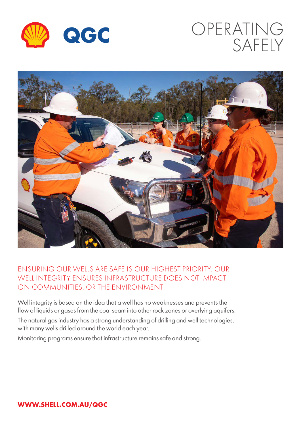

# OPERATING SAFELY



#### ENSURING OUR WELLS ARE SAFE IS OUR HIGHEST PRIORITY. OUR WELL INTEGRITY ENSURES INFRASTRUCTURE DOES NOT IMPACT ON COMMUNITIES, OR THE ENVIRONMENT.

Well integrity is based on the idea that a well has no weaknesses and prevents the flow of liquids or gases from the coal seam into other rock zones or overlying aquifers.

The natural gas industry has a strong understanding of drilling and well technologies, with many wells drilled around the world each year.

Monitoring programs ensure that infrastructure remains safe and strong.